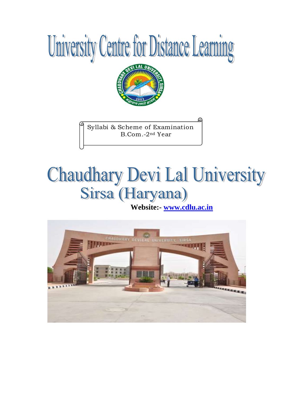



Syllabi & Scheme of Examination B.Com.-2nd Year

# Sirsa (Haryana)

 **Website:- [www.cdlu.ac.in](http://www.cdlu.ac.in/)**

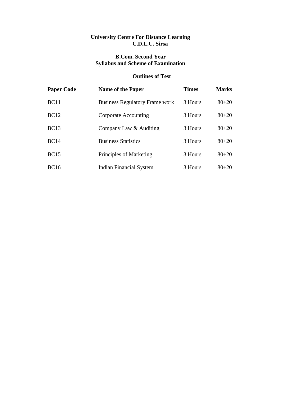## **University Centre For Distance Learning C.D.L.U. Sirsa**

# **B.Com. Second Year Syllabus and Scheme of Examination**

# **Outlines of Test**

| <b>Paper Code</b> | <b>Name of the Paper</b>              | <b>Times</b> | <b>Marks</b> |
|-------------------|---------------------------------------|--------------|--------------|
| BC11              | <b>Business Regulatory Frame work</b> | 3 Hours      | $80 + 20$    |
| <b>BC12</b>       | Corporate Accounting                  | 3 Hours      | $80 + 20$    |
| <b>BC13</b>       | Company Law & Auditing                | 3 Hours      | $80 + 20$    |
| <b>BC14</b>       | <b>Business Statistics</b>            | 3 Hours      | $80 + 20$    |
| <b>BC15</b>       | Principles of Marketing               | 3 Hours      | $80 + 20$    |
| <b>BC16</b>       | <b>Indian Financial System</b>        | 3 Hours      | $80 + 20$    |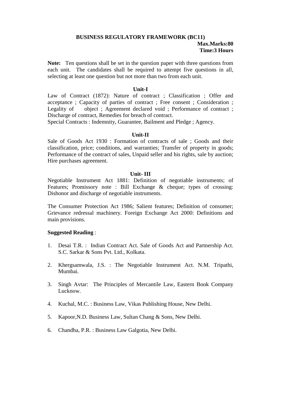# **BUSINESS REGULATORY FRAMEWORK (BC11) Max.Marks:80 Time:3 Hours**

**Note:** Ten questions shall be set in the question paper with three questions from each unit. The candidates shall be required to attempt five questions in all, selecting at least one question but not more than two from each unit.

#### **Unit-I**

Law of Contract (1872): Nature of contract ; Classification ; Offer and acceptance ; Capacity of parties of contract ; Free consent ; Consideration ; Legality of object ; Agreement declared void ; Performance of contract ; Discharge of contract, Remedies for breach of contract.

Special Contracts : Indemnity, Guarantee, Bailment and Pledge ; Agency.

## **Unit-II**

Sale of Goods Act 1930 : Formation of contracts of sale ; Goods and their classification, price; conditions, and warranties; Transfer of property in goods; Performance of the contract of sales, Unpaid seller and his rights, sale by auction; Hire purchases agreement.

#### **Unit- III**

Negotiable Instrument Act 1881: Definition of negotiable instruments; of Features; Promissory note : Bill Exchange & cheque; types of crossing: Dishonor and discharge of negotiable instruments.

The Consumer Protection Act 1986; Salient features; Definition of consumer; Grievance redressal machinery. Foreign Exchange Act 2000: Definitions and main provisions.

## **Suggested Reading** :

- 1. Desai T.R. : Indian Contract Act. Sale of Goods Act and Partnership Act. S.C. Sarkar & Sons Pvt. Ltd., Kolkata.
- 2. Khergsamwala, J.S. : The Negotiable Instrument Act. N.M. Tripathi, Mumbai.
- 3. Singh Avtar: The Principles of Mercantile Law, Eastern Book Company Lucknow.
- 4. Kuchal, M.C. : Business Law, Vikas Publishing House, New Delhi.
- 5. Kapoor,N.D. Business Law, Sultan Chang & Sons, New Delhi.
- 6. Chandha, P.R. : Business Law Galgotia, New Delhi.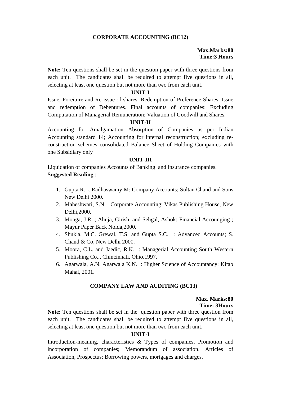## **CORPORATE ACCOUNTING (BC12)**

## **Max.Marks:80 Time:3 Hours**

**Note:** Ten questions shall be set in the question paper with three questions from each unit. The candidates shall be required to attempt five questions in all, selecting at least one question but not more than two from each unit.

## **UNIT-I**

Issue, Foreiture and Re-issue of shares: Redemption of Preference Shares; Issue and redemption of Debentures. Final accounts of companies: Excluding Computation of Managerial Remuneration; Valuation of Goodwill and Shares.

## **UNIT-II**

Accounting for Amalgamation Absorption of Companies as per Indian Accounting standard 14; Accounting for internal reconstruction; excluding reconstruction schemes consolidated Balance Sheet of Holding Companies with one Subsidiary only

## **UNIT-III**

Liquidation of companies Accounts of Banking and Insurance companies. **Suggested Reading** :

- 1. Gupta R.L. Radhaswamy M: Company Accounts; Sultan Chand and Sons New Delhi 2000.
- 2. Maheshwari, S.N. : Corporate Accounting; Vikas Publishing House, New Delhi,2000.
- 3. Monga, J.R. ; Ahuja, Girish, and Sehgal, Ashok: Financial Accounging ; Mayur Paper Back Noida,2000.
- 4. Shukla, M.C. Grewal, T.S. and Gupta S.C. : Advanced Accounts; S. Chand & Co, New Delhi 2000.
- 5. Moora, C.L. and Jaedic, R.K. : Managerial Accounting South Western Publishing Co.., Chincinnati, Ohio.1997.
- 6. Agarwala, A.N. Agarwala K.N. : Higher Science of Accountancy: Kitab Mahal, 2001.

# **COMPANY LAW AND AUDITING (BC13)**

#### **Max. Marks:80 Time: 3Hours**

**Note:** Ten questions shall be set in the question paper with three question from each unit. The candidates shall be required to attempt five questions in all, selecting at least one question but not more than two from each unit.

## **UNIT-I**

Introduction-meaning, characteristics & Types of companies, Promotion and incorporation of companies; Memorandum of association. Articles of Association, Prospectus; Borrowing powers, mortgages and charges.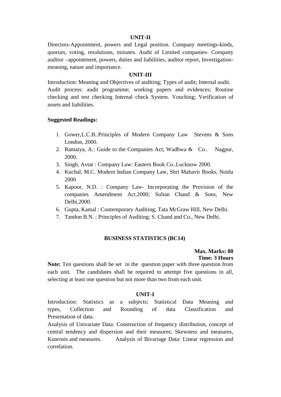#### **UNIT-II**

Directors-Appointment, powers and Legal position. Company meetings-kinds, quorum, voting, resolutions, minutes. Audit of Limited companies- Company auditor –appointment, powers, duties and liabilities, auditor report, Investigationmeaning, nature and importance.

## **UNIT-III**

Introduction: Meaning and Objectives of auditing; Types of audit; Internal audit. Audit process: audit programme; working papers and evidences; Routine checking and test checking Internal check System. Vouching; Verification of assets and liabilities.

#### **Suggested Readings:**

- 1. Gower,L.C.B.:Principles of Modern Company Law Stevens & Sons London, 2000.
- 2. Ramaiya, A.: Guide to the Companies Act; Wadhwa & Co.. Nagpur, 2000.
- 3. Singh, Avtar : Company Law: Eastern Book Co..Lucknow 2000.
- 4. Kuchal, M.C. Modern Indian Company Law, Shri Mahavir Books, Noida 2000
- 5. Kapoor, N.D. : Company Law- Incorporating the Provision of the companies Amendment Act.2000; Sultan Chand & Sons, New Delhi,2000.
- 6. Gupta, Kamal : Contemporary Auditing; Tata McGraw Hill, New Delhi.
- 7. Tandon B.N. : Principles of Auditing; S. Chand and Co., New Delhi.

## **BUSINESS STATISTICS (BC14)**

# **Max. Marks: 80 Time: 3 Hours**

**Note:** Ten questions shall be set in the question paper with three question from each unit. The candidates shall be required to attempt five questions in all, selecting at least one question but not more than two from each unit.

#### **UNIT-I**

Introduction: Statistics as a subjects; Statistical Data Meaning and types, Collection and Rounding of data Classification and Presentation of data.

Analysis of Univariate Data: Construction of frequency distribution, concept of central tendency and dispersion and their measures; Skewness and measures, Kunrosis and measures. Analysis of Bivariage Data: Linear regression and correlation.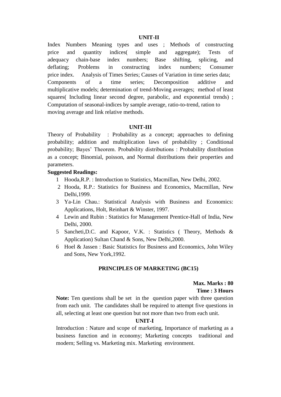#### **UNIT-II**

Index Numbers Meaning types and uses ; Methods of constructing price and quantity indices( simple and aggregate); Tests of adequacy chain-base index numbers; Base shifting, splicing, and deflating; Problems in constructing index numbers; Consumer price index. Analysis of Times Series; Causes of Variation in time series data; Components of a time series; Decomposition additive and multiplicative models; determination of trend-Moving averages; method of least squares( Including linear second degree, parabolic, and exponential trends); Computation of seasonal-indices by sample average, ratio-to-trend, ration to moving average and link relative methods.

#### **UNIT-III**

Theory of Probability : Probability as a concept; approaches to defining probability; addition and multiplication laws of probability ; Conditional probability; Bayes' Theorem. Probability distributions : Probability distribution as a concept; Binomial, poisson, and Normal distributions their properties and parameters.

## **Suggested Readings:**

- 1 Hooda,R.P. : Introduction to Statistics, Macmillan, New Delhi, 2002.
- 2 Hooda, R.P.: Statistics for Business and Economics, Macmillan, New Delhi,1999.
- 3 Ya-Lin Chau.: Statistical Analysis with Business and Economics: Applications, Holt, Reinhart & Winster, 1997.
- 4 Lewin and Rubin : Statistics for Management Prentice-Hall of India, New Delhi, 2000.
- 5 Sancheti,D.C. and Kapoor, V.K. : Statistics ( Theory, Methods & Application) Sultan Chand & Sons, New Delhi,2000.
- 6 Hoel & Jassen : Basic Statistics for Business and Economics, John Wiley and Sons, New York,1992.

#### **PRINCIPLES OF MARKETING (BC15)**

## **Max. Marks : 80 Time : 3 Hours**

**Note:** Ten questions shall be set in the question paper with three question from each unit. The candidates shall be required to attempt five questions in all, selecting at least one question but not more than two from each unit.

#### **UNIT-I**

Introduction : Nature and scope of marketing, Importance of marketing as a business function and in economy; Marketing concepts traditional and modern; Selling vs. Marketing mix. Marketing environment.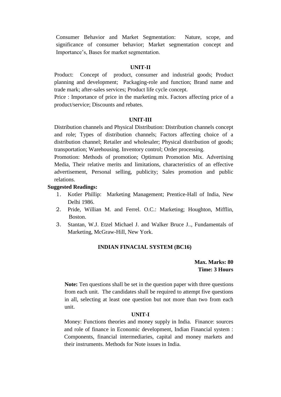Consumer Behavior and Market Segmentation: Nature, scope, and significance of consumer behavior; Market segmentation concept and Importance's, Bases for market segmentation.

### **UNIT-II**

Product: Concept of product, consumer and industrial goods; Product planning and development; Packaging-role and function; Brand name and trade mark; after-sales services; Product life cycle concept.

Price : Importance of price in the marketing mix. Factors affecting price of a product/service; Discounts and rebates.

#### **UNIT-III**

Distribution channels and Physical Distribution: Distribution channels concept and role; Types of distribution channels; Factors affecting choice of a distribution channel; Retailer and wholesaler; Physical distribution of goods; transportation; Warehousing. Inventory control; Order processing.

Promotion: Methods of promotion; Optimum Promotion Mix. Advertising Media, Their relative merits and limitations, characteristics of an effective advertisement, Personal selling, publicity; Sales promotion and public relations.

#### **Suggested Readings:**

- 1. Kotler Phillip: Marketing Management; Prentice-Hall of India, New Delhi 1986.
- 2. Pride, Willian M. and Ferrel. O.C.: Marketing; Houghton, Mifflin, Boston.
- 3. Stantan, W.J. Etzel Michael J. and Walker Bruce J.., Fundamentals of Marketing, McGraw-Hill, New York.

## **INDIAN FINACIAL SYSTEM (BC16)**

**Max. Marks: 80 Time: 3 Hours**

**Note:** Ten questions shall be set in the question paper with three questions from each unit. The candidates shall be required to attempt five questions in all, selecting at least one question but not more than two from each unit.

### **UNIT-I**

Money: Functions theories and money supply in India. Finance: sources and role of finance in Economic development, Indian Financial system : Components, financial intermediaries, capital and money markets and their instruments. Methods for Note issues in India.